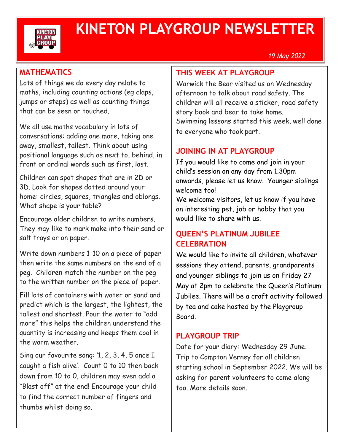

# **KINETON PLAYGROUP NEWSLETTER**

*19 May 2022*

## **MATHEMATICS**

Lots of things we do every day relate to maths, including counting actions (eg claps, jumps or steps) as well as counting things that can be seen or touched.

We all use maths vocabulary in lots of conversations: adding one more, taking one away, smallest, tallest. Think about using positional language such as next to, behind, in front or ordinal words such as first, last.

Children can spot shapes that are in 2D or 3D. Look for shapes dotted around your home: circles, squares, triangles and oblongs. What shape is your table?

Encourage older children to write numbers. They may like to mark make into their sand or salt trays or on paper.

Write down numbers 1-10 on a piece of paper then write the same numbers on the end of a peg. Children match the number on the peg to the written number on the piece of paper.

Fill lots of containers with water or sand and predict which is the largest, the lightest, the tallest and shortest. Pour the water to "add more" this helps the children understand the quantity is increasing and keeps them cool in the warm weather.

Sing our favourite song: '1, 2, 3, 4, 5 once I caught a fish alive'. Count 0 to 10 then back down from 10 to 0, children may even add a "Blast off" at the end! Encourage your child to find the correct number of fingers and thumbs whilst doing so.

## **THIS WEEK AT PLAYGROUP**

Warwick the Bear visited us on Wednesday afternoon to talk about road safety. The children will all receive a sticker, road safety story book and bear to take home. Swimming lessons started this week, well done to everyone who took part.

# **JOINING IN AT PLAYGROUP**

If you would like to come and join in your child's session on any day from 1.30pm onwards, please let us know. Younger siblings welcome too!

We welcome visitors, let us know if you have an interesting pet, job or hobby that you would like to share with us.

## **QUEEN'S PLATINUM JUBILEE CELEBRATION**

We would like to invite all children, whatever sessions they attend, parents, grandparents and younger siblings to join us on Friday 27 May at 2pm to celebrate the Queen's Platinum Jubilee. There will be a craft activity followed by tea and cake hosted by the Playgroup Board.

# **PLAYGROUP TRIP**

Date for your diary: Wednesday 29 June. Trip to Compton Verney for all children starting school in September 2022. We will be asking for parent volunteers to come along too. More details soon.